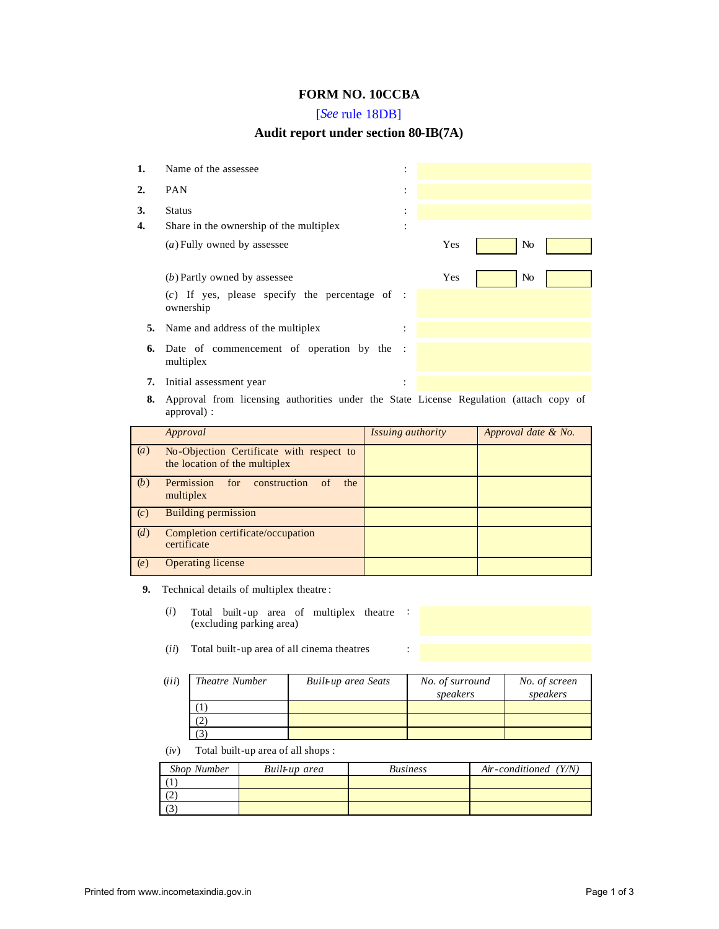## **FORM NO. 10CCBA**

## [*See* rule 18DB]

## **Audit report under section 80-IB(7A)**

| 1. | Name of the assessee                                                                   |        |     |    |  |
|----|----------------------------------------------------------------------------------------|--------|-----|----|--|
| 2. | <b>PAN</b>                                                                             | ٠<br>٠ |     |    |  |
| 3. | <b>Status</b>                                                                          |        |     |    |  |
| 4. | Share in the ownership of the multiplex                                                |        |     |    |  |
|    | (a) Fully owned by assessee                                                            |        | Yes | No |  |
|    | (b) Partly owned by assessee                                                           |        | Yes | No |  |
|    | $(c)$ If yes, please specify the percentage of :<br>ownership                          |        |     |    |  |
| 5. | Name and address of the multiplex                                                      |        |     |    |  |
| 6. | Date of commencement of operation by the :<br>multiplex                                |        |     |    |  |
| 7. | Initial assessment year                                                                | ٠      |     |    |  |
| Q. | Approval from licensing authorities under the State License Degulation (attach conv of |        |     |    |  |

**8.** Approval from licensing authorities under the State License Regulation (attach copy of approval) :

|                  | Approval                                                                  | Issuing authority | Approval date & No. |
|------------------|---------------------------------------------------------------------------|-------------------|---------------------|
| $\left(a\right)$ | No-Objection Certificate with respect to<br>the location of the multiplex |                   |                     |
| (b)              | Permission<br>for<br>construction<br>the<br>of<br>multiplex               |                   |                     |
| (c)              | <b>Building permission</b>                                                |                   |                     |
| (d)              | Completion certificate/occupation<br>certificate                          |                   |                     |
| (e)              | <b>Operating license</b>                                                  |                   |                     |

- **9.** Technical details of multiplex theatre :
	- (*i*) Total built-up area of multiplex theatre : (excluding parking area)
	- (*ii*) Total built-up area of all cinema theatres :

| (iii) | Theatre Number | Built-up area Seats | No. of surround<br>speakers | No. of screen<br>speakers |
|-------|----------------|---------------------|-----------------------------|---------------------------|
|       |                |                     |                             |                           |
|       | 2              |                     |                             |                           |
|       |                |                     |                             |                           |

(*iv*) Total built-up area of all shops :

| <b>Shop Number</b> | Built-up area | <i>Business</i> | Air-conditioned $(Y/N)$ |
|--------------------|---------------|-----------------|-------------------------|
|                    |               |                 |                         |
| $\overline{2}$     |               |                 |                         |
| C)                 |               |                 |                         |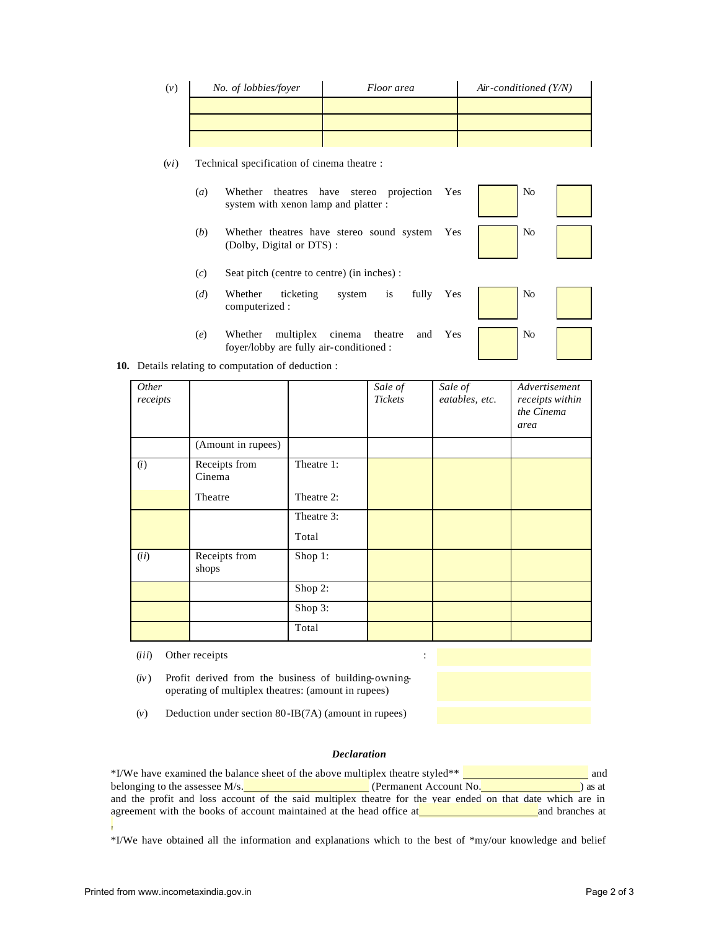| (v) | No. of lobbies/foyer | Floor area | Air-conditioned $(Y/N)$ |
|-----|----------------------|------------|-------------------------|
|     |                      |            |                         |
|     |                      |            |                         |
|     |                      |            |                         |

(*vi*) Technical specification of cinema theatre :

- $(a)$  Whether theatres have stereo projection Yes  $\sqrt{\phantom{a}}$  No system with xenon lamp and platter :
- (*b*) Whether theatres have stereo sound system Yes  $\sqrt{\phantom{a}}$  No (Dolby, Digital or DTS) :
- (*c*) Seat pitch (centre to centre) (in inches) :
- (*d*) Whether ticketing system is fully computerized : Yes
- (*e*) Whether multiplex cinema theatre and foyer/lobby are fully air-conditioned : Yes



| No |  |
|----|--|
| No |  |

|  |  | 10. Details relating to computation of deduction : |  |  |
|--|--|----------------------------------------------------|--|--|
|  |  |                                                    |  |  |

| Other<br>receipts |                         |            | Sale of<br>Tickets | Sale of<br>eatables, etc. | Advertisement<br>receipts within<br>the Cinema<br>area |
|-------------------|-------------------------|------------|--------------------|---------------------------|--------------------------------------------------------|
|                   | (Amount in rupees)      |            |                    |                           |                                                        |
| (i)               | Receipts from<br>Cinema | Theatre 1: |                    |                           |                                                        |
|                   | Theatre                 | Theatre 2: |                    |                           |                                                        |
|                   |                         | Theatre 3: |                    |                           |                                                        |
|                   |                         | Total      |                    |                           |                                                        |
| (ii)              | Receipts from<br>shops  | Shop 1:    |                    |                           |                                                        |
|                   |                         | Shop 2:    |                    |                           |                                                        |
|                   |                         | Shop 3:    |                    |                           |                                                        |
|                   |                         | Total      |                    |                           |                                                        |

- (*iii*) Other receipts :
- (*iv*) Profit derived from the business of building-owningoperating of multiplex theatres: (amount in rupees)

(*v*) Deduction under section 80-IB(7A) (amount in rupees)

## *Declaration*

| *I/We have examined the balance sheet of the above multiplex theatre styled**                              | and                               |  |
|------------------------------------------------------------------------------------------------------------|-----------------------------------|--|
| belonging to the assessee $M/s$ .                                                                          | (Permanent Account No.<br>) as at |  |
| and the profit and loss account of the said multiplex theatre for the year ended on that date which are in |                                   |  |
| agreement with the books of account maintained at the head office at                                       | and branches at                   |  |
|                                                                                                            |                                   |  |

\*I/We have obtained all the information and explanations which to the best of \*my/our knowledge and belief